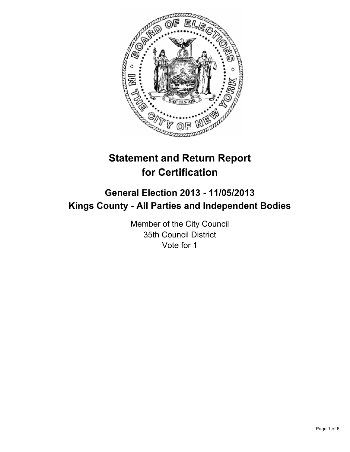

# **Statement and Return Report for Certification**

## **General Election 2013 - 11/05/2013 Kings County - All Parties and Independent Bodies**

Member of the City Council 35th Council District Vote for 1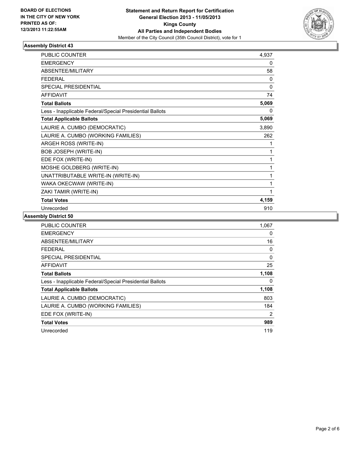

## **Assembly District 43**

| <b>PUBLIC COUNTER</b>                                    | 4.937 |
|----------------------------------------------------------|-------|
| <b>EMERGENCY</b>                                         | 0     |
| ABSENTEE/MILITARY                                        | 58    |
| <b>FEDERAL</b>                                           | 0     |
| <b>SPECIAL PRESIDENTIAL</b>                              | 0     |
| <b>AFFIDAVIT</b>                                         | 74    |
| <b>Total Ballots</b>                                     | 5,069 |
| Less - Inapplicable Federal/Special Presidential Ballots | 0     |
| <b>Total Applicable Ballots</b>                          | 5,069 |
| LAURIE A. CUMBO (DEMOCRATIC)                             | 3,890 |
| LAURIE A. CUMBO (WORKING FAMILIES)                       | 262   |
| ARGEH ROSS (WRITE-IN)                                    | 1     |
| <b>BOB JOSEPH (WRITE-IN)</b>                             | 1     |
| EDE FOX (WRITE-IN)                                       | 1     |
| MOSHE GOLDBERG (WRITE-IN)                                | 1     |
| UNATTRIBUTABLE WRITE-IN (WRITE-IN)                       | 1     |
| WAKA OKECWAW (WRITE-IN)                                  | 1     |
| ZAKI TAMIR (WRITE-IN)                                    | 1     |
| <b>Total Votes</b>                                       | 4,159 |
| Unrecorded                                               | 910   |

**Assembly District 50**

| PUBLIC COUNTER                                           | 1,067 |
|----------------------------------------------------------|-------|
| <b>EMERGENCY</b>                                         | 0     |
| ABSENTEE/MILITARY                                        | 16    |
| FEDERAL                                                  | 0     |
| SPECIAL PRESIDENTIAL                                     | 0     |
| AFFIDAVIT                                                | 25    |
| <b>Total Ballots</b>                                     | 1,108 |
| Less - Inapplicable Federal/Special Presidential Ballots | 0     |
| <b>Total Applicable Ballots</b>                          | 1,108 |
| LAURIE A. CUMBO (DEMOCRATIC)                             | 803   |
| LAURIE A. CUMBO (WORKING FAMILIES)                       | 184   |
| EDE FOX (WRITE-IN)                                       | 2     |
| <b>Total Votes</b>                                       | 989   |
| Unrecorded                                               | 119   |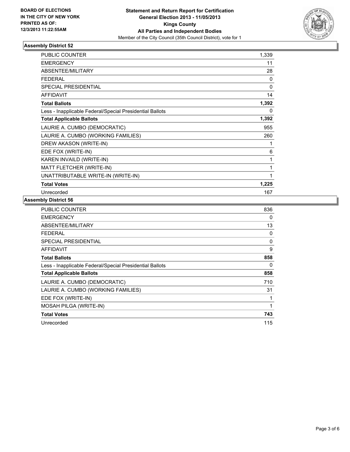

## **Assembly District 52**

| <b>PUBLIC COUNTER</b>                                    | 1,339 |
|----------------------------------------------------------|-------|
| <b>EMERGENCY</b>                                         | 11    |
| ABSENTEE/MILITARY                                        | 28    |
| <b>FEDERAL</b>                                           | 0     |
| <b>SPECIAL PRESIDENTIAL</b>                              | 0     |
| <b>AFFIDAVIT</b>                                         | 14    |
| <b>Total Ballots</b>                                     | 1,392 |
| Less - Inapplicable Federal/Special Presidential Ballots | 0     |
| <b>Total Applicable Ballots</b>                          | 1,392 |
| LAURIE A. CUMBO (DEMOCRATIC)                             | 955   |
| LAURIE A. CUMBO (WORKING FAMILIES)                       | 260   |
| DREW AKASON (WRITE-IN)                                   | 1     |
| EDE FOX (WRITE-IN)                                       | 6     |
| KAREN INVAILD (WRITE-IN)                                 | 1     |
| MATT FLETCHER (WRITE-IN)                                 | 1     |
| UNATTRIBUTABLE WRITE-IN (WRITE-IN)                       | 1     |
| <b>Total Votes</b>                                       | 1,225 |
| Unrecorded                                               | 167   |

#### **Assembly District 56**

| <b>PUBLIC COUNTER</b>                                    | 836      |
|----------------------------------------------------------|----------|
| <b>EMERGENCY</b>                                         | 0        |
| ABSENTEE/MILITARY                                        | 13       |
| FEDERAL                                                  | 0        |
| SPECIAL PRESIDENTIAL                                     | $\Omega$ |
| <b>AFFIDAVIT</b>                                         | 9        |
| <b>Total Ballots</b>                                     | 858      |
| Less - Inapplicable Federal/Special Presidential Ballots | 0        |
| <b>Total Applicable Ballots</b>                          | 858      |
| LAURIE A. CUMBO (DEMOCRATIC)                             | 710      |
| LAURIE A. CUMBO (WORKING FAMILIES)                       | 31       |
| EDE FOX (WRITE-IN)                                       |          |
| MOSAH PILGA (WRITE-IN)                                   | 1        |
| <b>Total Votes</b>                                       | 743      |
| Unrecorded                                               | 115      |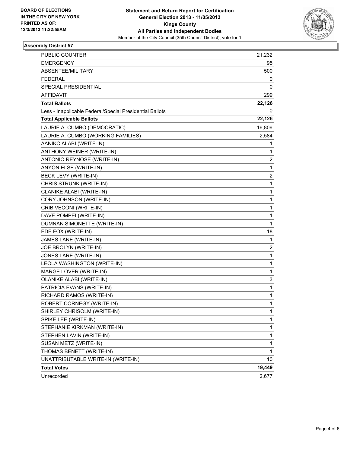

## **Assembly District 57**

| PUBLIC COUNTER                                           | 21,232       |
|----------------------------------------------------------|--------------|
| <b>EMERGENCY</b>                                         | 95           |
| ABSENTEE/MILITARY                                        | 500          |
| <b>FEDERAL</b>                                           | 0            |
| SPECIAL PRESIDENTIAL                                     | 0            |
| AFFIDAVIT                                                | 299          |
| <b>Total Ballots</b>                                     | 22,126       |
| Less - Inapplicable Federal/Special Presidential Ballots | 0            |
| <b>Total Applicable Ballots</b>                          | 22,126       |
| LAURIE A. CUMBO (DEMOCRATIC)                             | 16,806       |
| LAURIE A. CUMBO (WORKING FAMILIES)                       | 2,584        |
| AANIKC ALABI (WRITE-IN)                                  | 1            |
| ANTHONY WEINER (WRITE-IN)                                | 1            |
| ANTONIO REYNOSE (WRITE-IN)                               | 2            |
| ANYON ELSE (WRITE-IN)                                    | 1            |
| BECK LEVY (WRITE-IN)                                     | 2            |
| CHRIS STRUNK (WRITE-IN)                                  | 1            |
| CLANIKE ALABI (WRITE-IN)                                 | 1            |
| CORY JOHNSON (WRITE-IN)                                  | 1            |
| CRIB VECONI (WRITE-IN)                                   | $\mathbf 1$  |
| DAVE POMPEI (WRITE-IN)                                   | 1            |
| DUMNAN SIMONETTE (WRITE-IN)                              | 1            |
| EDE FOX (WRITE-IN)                                       | 18           |
| JAMES LANE (WRITE-IN)                                    | 1            |
| JOE BROLYN (WRITE-IN)                                    | 2            |
| JONES LARE (WRITE-IN)                                    | $\mathbf{1}$ |
| LEOLA WASHINGTON (WRITE-IN)                              | 1            |
| MARGE LOVER (WRITE-IN)                                   | 1            |
| OLANIKE ALABI (WRITE-IN)                                 | 3            |
| PATRICIA EVANS (WRITE-IN)                                | 1            |
| RICHARD RAMOS (WRITE-IN)                                 | 1            |
| ROBERT CORNEGY (WRITE-IN)                                | 1            |
| SHIRLEY CHRISOLM (WRITE-IN)                              | 1            |
| SPIKE LEE (WRITE-IN)                                     | 1            |
| STEPHANIE KIRKMAN (WRITE-IN)                             | 1            |
| STEPHEN LAVIN (WRITE-IN)                                 | 1            |
| SUSAN METZ (WRITE-IN)                                    | 1            |
| THOMAS BENETT (WRITE-IN)                                 | 1            |
| UNATTRIBUTABLE WRITE-IN (WRITE-IN)                       | 10           |
| <b>Total Votes</b>                                       | 19,449       |
| Unrecorded                                               | 2,677        |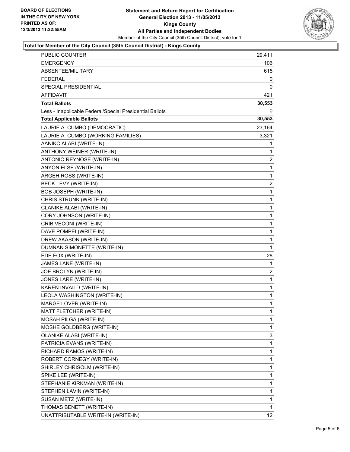

## **Total for Member of the City Council (35th Council District) - Kings County**

| PUBLIC COUNTER                                           | 29,411          |
|----------------------------------------------------------|-----------------|
| <b>EMERGENCY</b>                                         | 106             |
| ABSENTEE/MILITARY                                        | 615             |
| <b>FEDERAL</b>                                           | 0               |
| SPECIAL PRESIDENTIAL                                     | 0               |
| AFFIDAVIT                                                | 421             |
| <b>Total Ballots</b>                                     | 30,553          |
| Less - Inapplicable Federal/Special Presidential Ballots | 0               |
| <b>Total Applicable Ballots</b>                          | 30,553          |
| LAURIE A. CUMBO (DEMOCRATIC)                             | 23,164          |
| LAURIE A. CUMBO (WORKING FAMILIES)                       | 3,321           |
| AANIKC ALABI (WRITE-IN)                                  | 1               |
| ANTHONY WEINER (WRITE-IN)                                | 1               |
| ANTONIO REYNOSE (WRITE-IN)                               | 2               |
| ANYON ELSE (WRITE-IN)                                    | 1               |
| ARGEH ROSS (WRITE-IN)                                    | 1               |
| BECK LEVY (WRITE-IN)                                     | 2               |
| BOB JOSEPH (WRITE-IN)                                    | 1               |
| CHRIS STRUNK (WRITE-IN)                                  | 1               |
| CLANIKE ALABI (WRITE-IN)                                 | 1               |
| CORY JOHNSON (WRITE-IN)                                  | 1               |
| CRIB VECONI (WRITE-IN)                                   | 1               |
| DAVE POMPEI (WRITE-IN)                                   | 1               |
| DREW AKASON (WRITE-IN)                                   | 1               |
| DUMNAN SIMONETTE (WRITE-IN)                              | 1               |
| EDE FOX (WRITE-IN)                                       | 28              |
| JAMES LANE (WRITE-IN)                                    | 1               |
| JOE BROLYN (WRITE-IN)                                    | 2               |
| JONES LARE (WRITE-IN)                                    | 1               |
| KAREN INVAILD (WRITE-IN)                                 | $\mathbf 1$     |
| LEOLA WASHINGTON (WRITE-IN)                              | 1               |
| MARGE LOVER (WRITE-IN)                                   | 1               |
| MATT FLETCHER (WRITE-IN)                                 | 1               |
| MOSAH PILGA (WRITE-IN)                                   | 1               |
| MOSHE GOLDBERG (WRITE-IN)                                | 1               |
| OLANIKE ALABI (WRITE-IN)                                 | 3               |
| PATRICIA EVANS (WRITE-IN)                                | 1               |
| RICHARD RAMOS (WRITE-IN)                                 | 1               |
| ROBERT CORNEGY (WRITE-IN)                                | 1               |
| SHIRLEY CHRISOLM (WRITE-IN)                              | 1               |
| SPIKE LEE (WRITE-IN)                                     | 1               |
| STEPHANIE KIRKMAN (WRITE-IN)                             | 1               |
| STEPHEN LAVIN (WRITE-IN)                                 | 1               |
| SUSAN METZ (WRITE-IN)                                    | 1               |
| THOMAS BENETT (WRITE-IN)                                 | 1               |
| UNATTRIBUTABLE WRITE-IN (WRITE-IN)                       | 12 <sub>2</sub> |